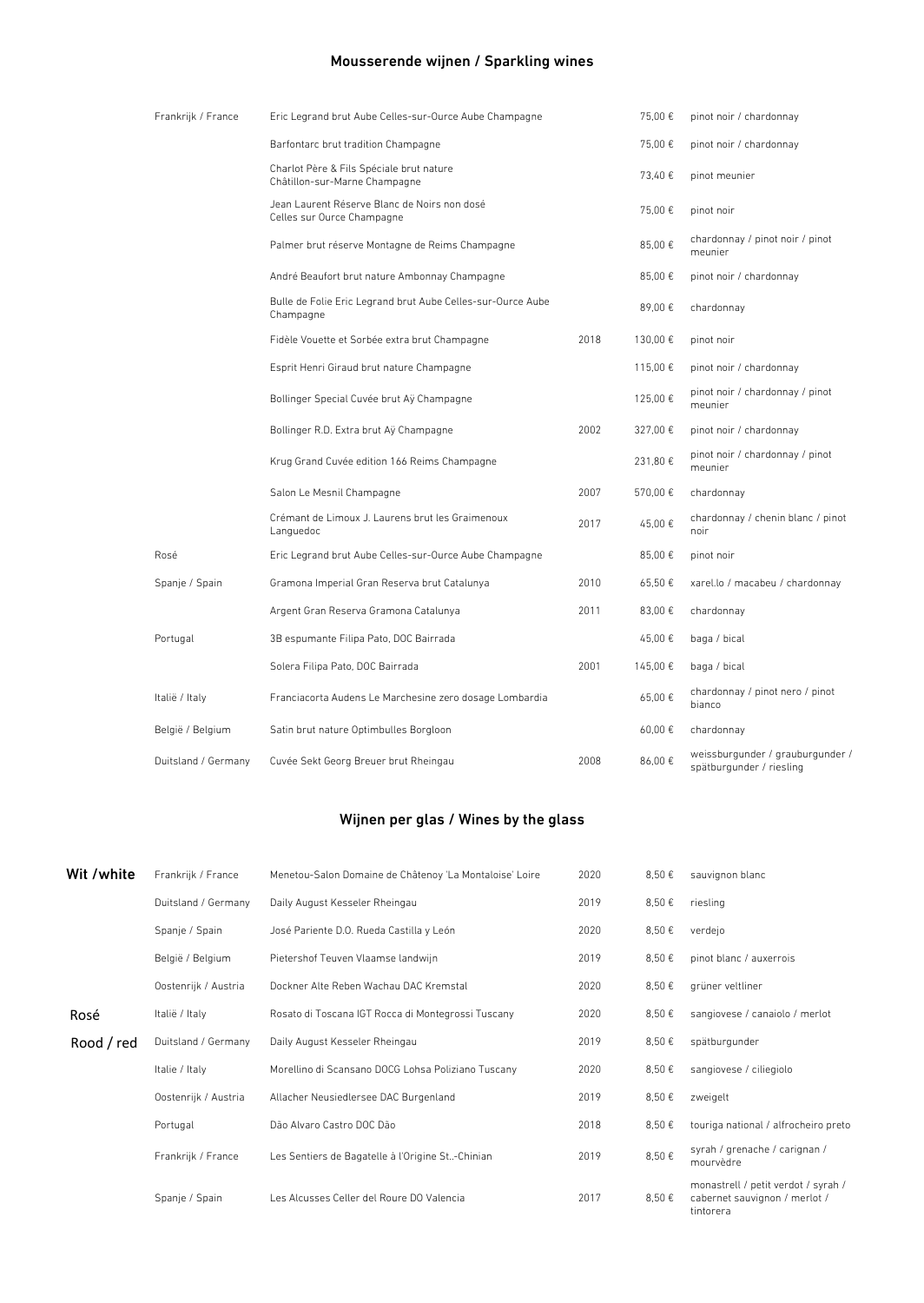# Mousserende wijnen / Sparkling wines

| Frankrijk / France  | Eric Legrand brut Aube Celles-sur-Ource Aube Champagne                     |      | 75.00€   | pinot noir / chardonnay                                      |
|---------------------|----------------------------------------------------------------------------|------|----------|--------------------------------------------------------------|
|                     | Barfontarc brut tradition Champagne                                        |      | 75.00€   | pinot noir / chardonnay                                      |
|                     | Charlot Père & Fils Spéciale brut nature<br>Châtillon-sur-Marne Champagne  |      | 73,40€   | pinot meunier                                                |
|                     | Jean Laurent Réserve Blanc de Noirs non dosé<br>Celles sur Ource Champagne |      | 75,00€   | pinot noir                                                   |
|                     | Palmer brut réserve Montagne de Reims Champagne                            |      | 85,00€   | chardonnay / pinot noir / pinot<br>meunier                   |
|                     | André Beaufort brut nature Ambonnay Champagne                              |      | 85.00€   | pinot noir / chardonnay                                      |
|                     | Bulle de Folie Eric Legrand brut Aube Celles-sur-Ource Aube<br>Champagne   |      | 89.00€   | chardonnay                                                   |
|                     | Fidèle Vouette et Sorbée extra brut Champagne                              | 2018 | 130.00€  | pinot noir                                                   |
|                     | Esprit Henri Giraud brut nature Champagne                                  |      | 115,00€  | pinot noir / chardonnay                                      |
|                     | Bollinger Special Cuvée brut Aÿ Champagne                                  |      | 125.00€  | pinot noir / chardonnay / pinot<br>meunier                   |
|                     | Bollinger R.D. Extra brut Aÿ Champagne                                     | 2002 | 327,00 € | pinot noir / chardonnay                                      |
|                     | Krug Grand Cuvée edition 166 Reims Champagne                               |      | 231,80 € | pinot noir / chardonnay / pinot<br>meunier                   |
|                     | Salon Le Mesnil Champagne                                                  | 2007 | 570,00€  | chardonnay                                                   |
|                     | Crémant de Limoux J. Laurens brut les Graimenoux<br>Languedoc              | 2017 | 45,00€   | chardonnay / chenin blanc / pinot<br>noir                    |
| Rosé                | Eric Legrand brut Aube Celles-sur-Ource Aube Champagne                     |      | 85,00€   | pinot noir                                                   |
| Spanje / Spain      | Gramona Imperial Gran Reserva brut Catalunya                               | 2010 | 65,50€   | xarel.lo / macabeu / chardonnay                              |
|                     | Argent Gran Reserva Gramona Catalunya                                      | 2011 | 83.00 €  | chardonnay                                                   |
| Portugal            | 3B espumante Filipa Pato, DOC Bairrada                                     |      | 45.00€   | baga / bical                                                 |
|                     | Solera Filipa Pato, DOC Bairrada                                           | 2001 | 145,00€  | baga / bical                                                 |
| Italië / Italy      | Franciacorta Audens Le Marchesine zero dosage Lombardia                    |      | 65,00€   | chardonnay / pinot nero / pinot<br>bianco                    |
| België / Belgium    | Satin brut nature Optimbulles Borgloon                                     |      | 60,00€   | chardonnay                                                   |
| Duitsland / Germany | Cuvée Sekt Georg Breuer brut Rheingau                                      | 2008 | 86.00€   | weissburgunder / grauburgunder /<br>spätburgunder / riesling |

# Wijnen per glas / Wines by the glass

| Wit /white | Frankrijk / France   | Menetou-Salon Domaine de Châtenoy 'La Montaloise' Loire | 2020 | 8,50€ | sauvignon blanc                                                                   |
|------------|----------------------|---------------------------------------------------------|------|-------|-----------------------------------------------------------------------------------|
|            | Duitsland / Germany  | Daily August Kesseler Rheingau                          | 2019 | 8,50€ | riesling                                                                          |
|            | Spanje / Spain       | José Pariente D.O. Rueda Castilla y León                | 2020 | 8,50€ | verdeio                                                                           |
|            | België / Belgium     | Pietershof Teuven Vlaamse landwijn                      | 2019 | 8,50€ | pinot blanc / auxerrois                                                           |
|            | Oostenrijk / Austria | Dockner Alte Reben Wachau DAC Kremstal                  | 2020 | 8,50€ | grüner veltliner                                                                  |
| Rosé       | Italië / Italy       | Rosato di Toscana IGT Rocca di Montegrossi Tuscany      | 2020 | 8,50€ | sangiovese / canaiolo / merlot                                                    |
| Rood / red | Duitsland / Germany  | Daily August Kesseler Rheingau                          | 2019 | 8,50€ | spätburgunder                                                                     |
|            | Italie / Italy       | Morellino di Scansano DOCG Lohsa Poliziano Tuscany      | 2020 | 8,50€ | sangiovese / ciliegiolo                                                           |
|            | Oostenrijk / Austria | Allacher Neusiedlersee DAC Burgenland                   | 2019 | 8,50€ | zweigelt                                                                          |
|            | Portugal             | Dão Alvaro Castro DOC Dão                               | 2018 | 8,50€ | touriga national / alfrocheiro preto                                              |
|            | Frankrijk / France   | Les Sentiers de Bagatelle à l'Origine St-Chinian        | 2019 | 8,50€ | syrah / grenache / carignan /<br>mourvèdre                                        |
|            | Spanje / Spain       | Les Alcusses Celler del Roure DO Valencia               | 2017 | 8,50€ | monastrell / petit verdot / syrah /<br>cabernet sauvignon / merlot /<br>tintorera |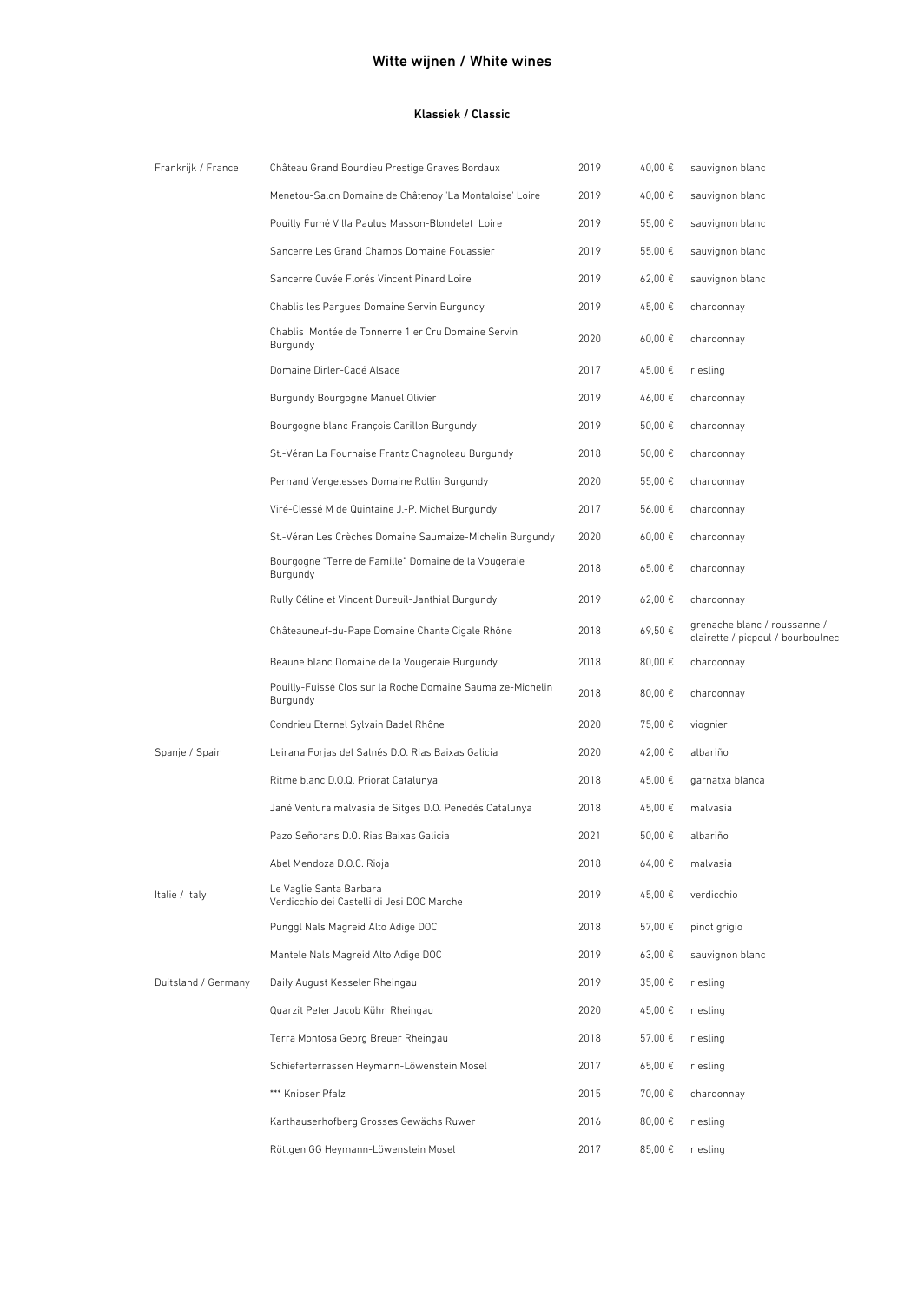### Witte wijnen / White wines

#### Klassiek / Classic

| Frankrijk / France  | Château Grand Bourdieu Prestige Graves Bordaux                         | 2019 | 40,00€  | sauvignon blanc                                                   |
|---------------------|------------------------------------------------------------------------|------|---------|-------------------------------------------------------------------|
|                     | Menetou-Salon Domaine de Châtenoy 'La Montaloise' Loire                | 2019 | 40,00 € | sauvignon blanc                                                   |
|                     | Pouilly Fumé Villa Paulus Masson-Blondelet Loire                       | 2019 | 55,00 € | sauvignon blanc                                                   |
|                     | Sancerre Les Grand Champs Domaine Fouassier                            | 2019 | 55,00 € | sauvignon blanc                                                   |
|                     | Sancerre Cuvée Florés Vincent Pinard Loire                             | 2019 | 62,00 € | sauvignon blanc                                                   |
|                     | Chablis les Pargues Domaine Servin Burgundy                            | 2019 | 45,00 € | chardonnay                                                        |
|                     | Chablis Montée de Tonnerre 1 er Cru Domaine Servin<br>Burgundy         | 2020 | 60,00€  | chardonnay                                                        |
|                     | Domaine Dirler-Cadé Alsace                                             | 2017 | 45,00€  | riesling                                                          |
|                     | Burgundy Bourgogne Manuel Olivier                                      | 2019 | 46,00€  | chardonnay                                                        |
|                     | Bourgogne blanc François Carillon Burgundy                             | 2019 | 50,00€  | chardonnay                                                        |
|                     | St.-Véran La Fournaise Frantz Chagnoleau Burgundy                      | 2018 | 50,00€  | chardonnay                                                        |
|                     | Pernand Vergelesses Domaine Rollin Burgundy                            | 2020 | 55,00€  | chardonnay                                                        |
|                     | Viré-Clessé M de Quintaine J.-P. Michel Burgundy                       | 2017 | 56,00€  | chardonnay                                                        |
|                     | St.-Véran Les Crèches Domaine Saumaize-Michelin Burgundy               | 2020 | 60,00€  | chardonnay                                                        |
|                     | Bourgogne "Terre de Famille" Domaine de la Vougeraie<br>Burgundy       | 2018 | 65,00 € | chardonnay                                                        |
|                     | Rully Céline et Vincent Dureuil-Janthial Burgundy                      | 2019 | 62,00€  | chardonnay                                                        |
|                     | Châteauneuf-du-Pape Domaine Chante Cigale Rhône                        | 2018 | 69,50€  | grenache blanc / roussanne /<br>clairette / picpoul / bourboulnec |
|                     | Beaune blanc Domaine de la Vougeraie Burgundy                          | 2018 | 80,00€  | chardonnay                                                        |
|                     | Pouilly-Fuissé Clos sur la Roche Domaine Saumaize-Michelin<br>Burgundy | 2018 | 80,00€  | chardonnay                                                        |
|                     | Condrieu Eternel Sylvain Badel Rhône                                   | 2020 | 75,00€  | viognier                                                          |
| Spanje / Spain      | Leirana Forjas del Salnés D.O. Rias Baixas Galicia                     | 2020 | 42,00 € | albariño                                                          |
|                     | Ritme blanc D.O.Q. Priorat Catalunya                                   | 2018 | 45,00€  | garnatxa blanca                                                   |
|                     | Jané Ventura malvasia de Sitges D.O. Penedés Catalunya                 | 2018 | 45,00 € | malvasia                                                          |
|                     | Pazo Señorans D.O. Rias Baixas Galicia                                 | 2021 | 50,00€  | albariño                                                          |
|                     | Abel Mendoza D.O.C. Rioja                                              | 2018 | 64,00€  | malvasia                                                          |
| Italie / Italy      | Le Vaglie Santa Barbara<br>Verdicchio dei Castelli di Jesi DOC Marche  | 2019 | 45,00€  | verdicchio                                                        |
|                     | Punggl Nals Magreid Alto Adige DOC                                     | 2018 | 57,00€  | pinot grigio                                                      |
|                     | Mantele Nals Magreid Alto Adige DOC                                    | 2019 | 63,00 € | sauvignon blanc                                                   |
| Duitsland / Germany | Daily August Kesseler Rheingau                                         | 2019 | 35,00€  | riesling                                                          |
|                     | Quarzit Peter Jacob Kühn Rheingau                                      | 2020 | 45,00€  | riesling                                                          |
|                     | Terra Montosa Georg Breuer Rheingau                                    | 2018 | 57,00€  | riesling                                                          |
|                     | Schieferterrassen Heymann-Löwenstein Mosel                             | 2017 | 65,00 € | riesling                                                          |
|                     | *** Knipser Pfalz                                                      | 2015 | 70,00€  | chardonnay                                                        |
|                     | Karthauserhofberg Grosses Gewächs Ruwer                                | 2016 | 80,00€  | riesling                                                          |
|                     | Röttgen GG Heymann-Löwenstein Mosel                                    | 2017 | 85,00€  | riesling                                                          |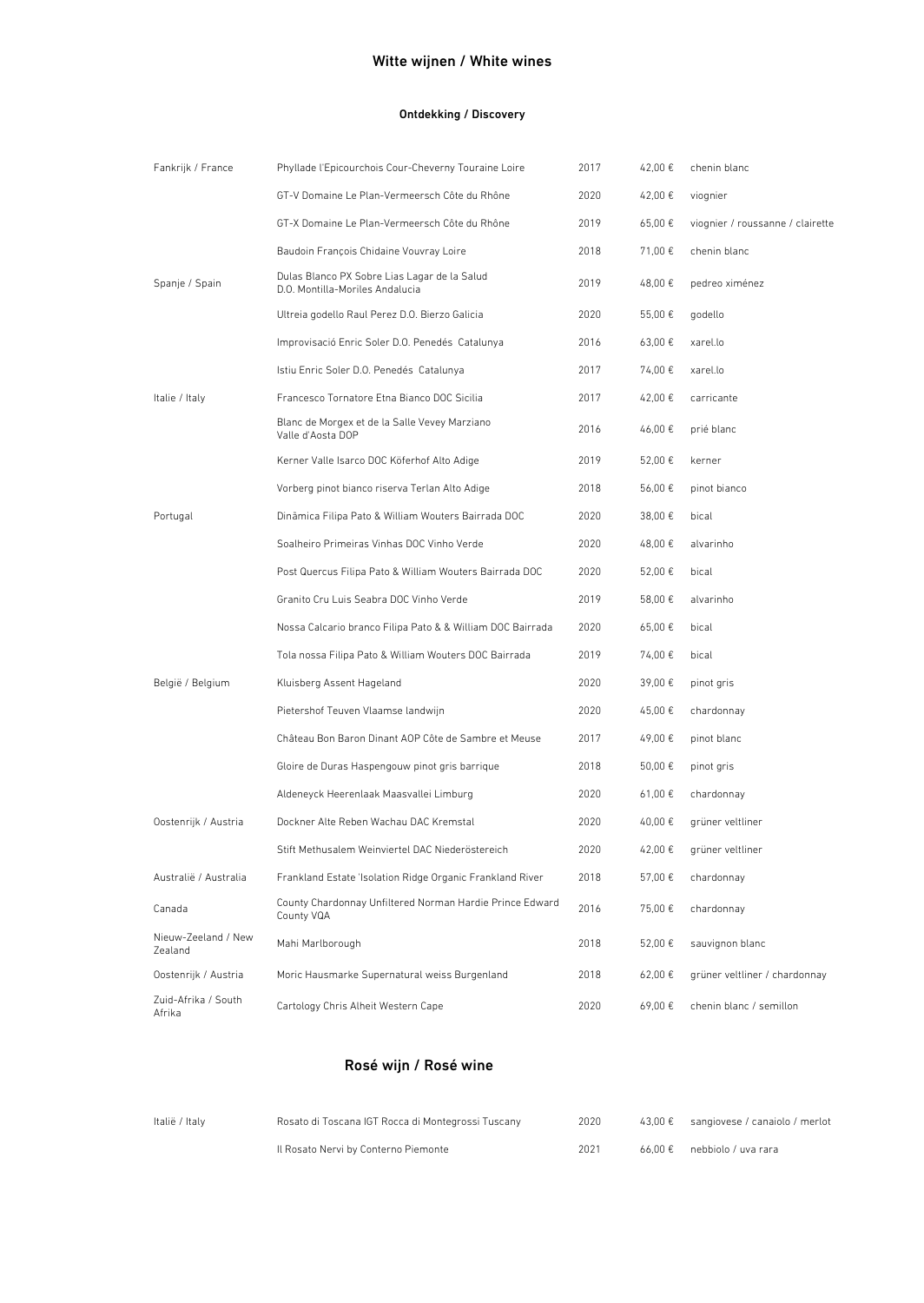# Witte wijnen / White wines

### Ontdekking / Discovery

| Fankrijk / France              | Phyllade l'Epicourchois Cour-Cheverny Touraine Loire                            | 2017 | 42,00€      | chenin blanc                     |
|--------------------------------|---------------------------------------------------------------------------------|------|-------------|----------------------------------|
|                                | GT-V Domaine Le Plan-Vermeersch Côte du Rhône                                   | 2020 | 42,00€      | viognier                         |
|                                | GT-X Domaine Le Plan-Vermeersch Côte du Rhône                                   | 2019 | 65,00€      | viognier / roussanne / clairette |
|                                | Baudoin François Chidaine Vouvray Loire                                         | 2018 | 71,00 €     | chenin blanc                     |
| Spanje / Spain                 | Dulas Blanco PX Sobre Lias Lagar de la Salud<br>D.O. Montilla-Moriles Andalucia | 2019 | 48,00€      | pedreo ximénez                   |
|                                | Ultreia godello Raul Perez D.O. Bierzo Galicia                                  | 2020 | 55,00€      | godello                          |
|                                | Improvisació Enric Soler D.O. Penedés Catalunya                                 | 2016 | $63,00 \in$ | xarel.lo                         |
|                                | Istiu Enric Soler D.O. Penedés Catalunya                                        | 2017 | 74,00€      | xarel.lo                         |
| Italie / Italy                 | Francesco Tornatore Etna Bianco DOC Sicilia                                     | 2017 | 42,00 €     | carricante                       |
|                                | Blanc de Morgex et de la Salle Vevey Marziano<br>Valle d'Aosta DOP              | 2016 | 46,00€      | prié blanc                       |
|                                | Kerner Valle Isarco DOC Köferhof Alto Adige                                     | 2019 | 52,00€      | kerner                           |
|                                | Vorberg pinot bianco riserva Terlan Alto Adige                                  | 2018 | 56,00€      | pinot bianco                     |
| Portugal                       | Dinămica Filipa Pato & William Wouters Bairrada DOC                             | 2020 | 38,00€      | bical                            |
|                                | Soalheiro Primeiras Vinhas DOC Vinho Verde                                      | 2020 | 48,00 €     | alvarinho                        |
|                                | Post Quercus Filipa Pato & William Wouters Bairrada DOC                         | 2020 | 52,00€      | bical                            |
|                                | Granito Cru Luis Seabra DOC Vinho Verde                                         | 2019 | 58,00 €     | alvarinho                        |
|                                | Nossa Calcario branco Filipa Pato & & William DOC Bairrada                      | 2020 | 65,00€      | bical                            |
|                                | Tola nossa Filipa Pato & William Wouters DOC Bairrada                           | 2019 | 74,00€      | bical                            |
| België / Belgium               | Kluisberg Assent Hageland                                                       | 2020 | 39,00€      | pinot gris                       |
|                                | Pietershof Teuven Vlaamse landwijn                                              | 2020 | 45,00€      | chardonnay                       |
|                                | Château Bon Baron Dinant AOP Côte de Sambre et Meuse                            | 2017 | 49,00€      | pinot blanc                      |
|                                | Gloire de Duras Haspengouw pinot gris barrique                                  | 2018 | 50,00€      | pinot gris                       |
|                                | Aldeneyck Heerenlaak Maasvallei Limburg                                         | 2020 | 61,00€      | chardonnay                       |
| Oostenrijk / Austria           | Dockner Alte Reben Wachau DAC Kremstal                                          | 2020 | 40,00€      | grüner veltliner                 |
|                                | Stift Methusalem Weinviertel DAC Niederöstereich                                | 2020 | 42,00 €     | grüner veltliner                 |
| Australië / Australia          | Frankland Estate 'Isolation Ridge Organic Frankland River                       | 2018 | 57,00€      | chardonnay                       |
| Canada                         | County Chardonnay Unfiltered Norman Hardie Prince Edward<br>County VQA          | 2016 | 75,00€      | chardonnay                       |
| Nieuw-Zeeland / New<br>Zealand | Mahi Marlborough                                                                | 2018 | 52,00€      | sauvignon blanc                  |
| Oostenrijk / Austria           | Moric Hausmarke Supernatural weiss Burgenland                                   | 2018 | 62,00€      | grüner veltliner / chardonnay    |
| Zuid-Afrika / South<br>Afrika  | Cartology Chris Alheit Western Cape                                             | 2020 | 69,00€      | chenin blanc / semillon          |

# Rosé wijn / Rosé wine

| Italië / Italv | Rosato di Toscana IGT Rocca di Montegrossi Tuscany | 2020 | $43,00 \&$ sangiovese / canaiolo / merlot |
|----------------|----------------------------------------------------|------|-------------------------------------------|
|                | Il Rosato Nervi by Conterno Piemonte               | 2021 | $66.00 \in$ nebbiolo / uva rara           |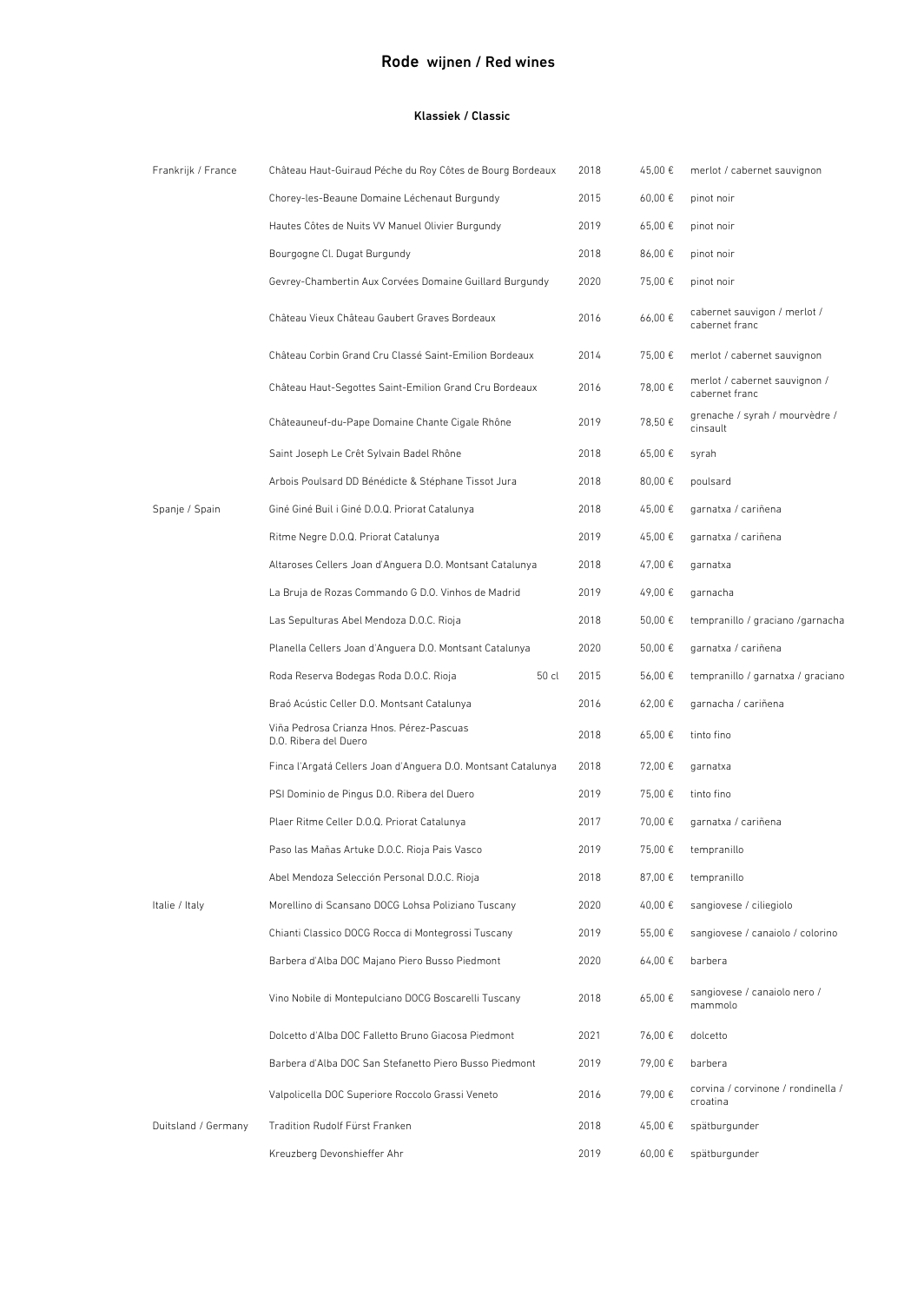# Rode wijnen / Red wines

#### Klassiek / Classic

| Frankrijk / France  | Château Haut-Guiraud Péche du Roy Côtes de Bourg Bordeaux         | 2018 | 45,00€  | merlot / cabernet sauvignon                     |
|---------------------|-------------------------------------------------------------------|------|---------|-------------------------------------------------|
|                     | Chorey-les-Beaune Domaine Léchenaut Burgundy                      | 2015 | 60,00€  | pinot noir                                      |
|                     | Hautes Côtes de Nuits VV Manuel Olivier Burgundy                  | 2019 | 65,00€  | pinot noir                                      |
|                     | Bourgogne Cl. Dugat Burgundy                                      | 2018 | 86,00€  | pinot noir                                      |
|                     | Gevrey-Chambertin Aux Corvées Domaine Guillard Burgundy           | 2020 | 75,00€  | pinot noir                                      |
|                     | Château Vieux Château Gaubert Graves Bordeaux                     | 2016 | 66,00€  | cabernet sauvigon / merlot /<br>cabernet franc  |
|                     | Château Corbin Grand Cru Classé Saint-Emilion Bordeaux            | 2014 | 75,00€  | merlot / cabernet sauvignon                     |
|                     | Château Haut-Segottes Saint-Emilion Grand Cru Bordeaux            | 2016 | 78,00€  | merlot / cabernet sauvignon /<br>cabernet franc |
|                     | Châteauneuf-du-Pape Domaine Chante Cigale Rhône                   | 2019 | 78,50€  | grenache / syrah / mourvèdre /<br>cinsault      |
|                     | Saint Joseph Le Crêt Sylvain Badel Rhône                          | 2018 | 65,00€  | syrah                                           |
|                     | Arbois Poulsard DD Bénédicte & Stéphane Tissot Jura               | 2018 | 80,00€  | poulsard                                        |
| Spanje / Spain      | Giné Giné Buil i Giné D.O.Q. Priorat Catalunya                    | 2018 | 45,00€  | garnatxa / cariñena                             |
|                     | Ritme Negre D.O.Q. Priorat Catalunya                              | 2019 | 45,00€  | garnatxa / cariñena                             |
|                     | Altaroses Cellers Joan d'Anguera D.O. Montsant Catalunya          | 2018 | 47,00 € | garnatxa                                        |
|                     | La Bruja de Rozas Commando G D.O. Vinhos de Madrid                | 2019 | 49,00 € | garnacha                                        |
|                     | Las Sepulturas Abel Mendoza D.O.C. Rioja                          | 2018 | 50,00 € | tempranillo / graciano / garnacha               |
|                     | Planella Cellers Joan d'Anguera D.O. Montsant Catalunya           | 2020 | 50,00 € | garnatxa / cariñena                             |
|                     | Roda Reserva Bodegas Roda D.O.C. Rioja<br>50 cl                   | 2015 | 56,00€  | tempranillo / garnatxa / graciano               |
|                     | Braó Acústic Celler D.O. Montsant Catalunya                       | 2016 | 62,00€  | garnacha / cariñena                             |
|                     | Viña Pedrosa Crianza Hnos. Pérez-Pascuas<br>D.O. Ribera del Duero | 2018 | 65,00€  | tinto fino                                      |
|                     | Finca l'Argatá Cellers Joan d'Anguera D.O. Montsant Catalunya     | 2018 | 72,00€  | garnatxa                                        |
|                     | PSI Dominio de Pingus D.O. Ribera del Duero                       | 2019 | 75.00€  | tinto fino                                      |
|                     | Plaer Ritme Celler D.O.Q. Priorat Catalunya                       | 2017 | 70,00€  | garnatxa / cariñena                             |
|                     | Paso las Mañas Artuke D.O.C. Rioja Pais Vasco                     | 2019 | 75.00€  | tempranillo                                     |
|                     | Abel Mendoza Selección Personal D.O.C. Rioja                      | 2018 | 87,00€  | tempranillo                                     |
| Italie / Italy      | Morellino di Scansano DOCG Lohsa Poliziano Tuscany                | 2020 | 40,00€  | sangiovese / ciliegiolo                         |
|                     | Chianti Classico DOCG Rocca di Montegrossi Tuscany                | 2019 | 55,00€  | sangiovese / canaiolo / colorino                |
|                     | Barbera d'Alba DOC Majano Piero Busso Piedmont                    | 2020 | 64,00€  | barbera                                         |
|                     | Vino Nobile di Montepulciano DOCG Boscarelli Tuscany              | 2018 | 65,00€  | sangiovese / canaiolo nero /<br>mammolo         |
|                     | Dolcetto d'Alba DOC Falletto Bruno Giacosa Piedmont               | 2021 | 76,00€  | dolcetto                                        |
|                     | Barbera d'Alba DOC San Stefanetto Piero Busso Piedmont            | 2019 | 79,00€  | barbera                                         |
|                     | Valpolicella DOC Superiore Roccolo Grassi Veneto                  | 2016 | 79,00€  | corvina / corvinone / rondinella /<br>croatina  |
| Duitsland / Germany | Tradition Rudolf Fürst Franken                                    | 2018 | 45,00€  | spätburgunder                                   |
|                     | Kreuzberg Devonshieffer Ahr                                       | 2019 | 60,00€  | spätburgunder                                   |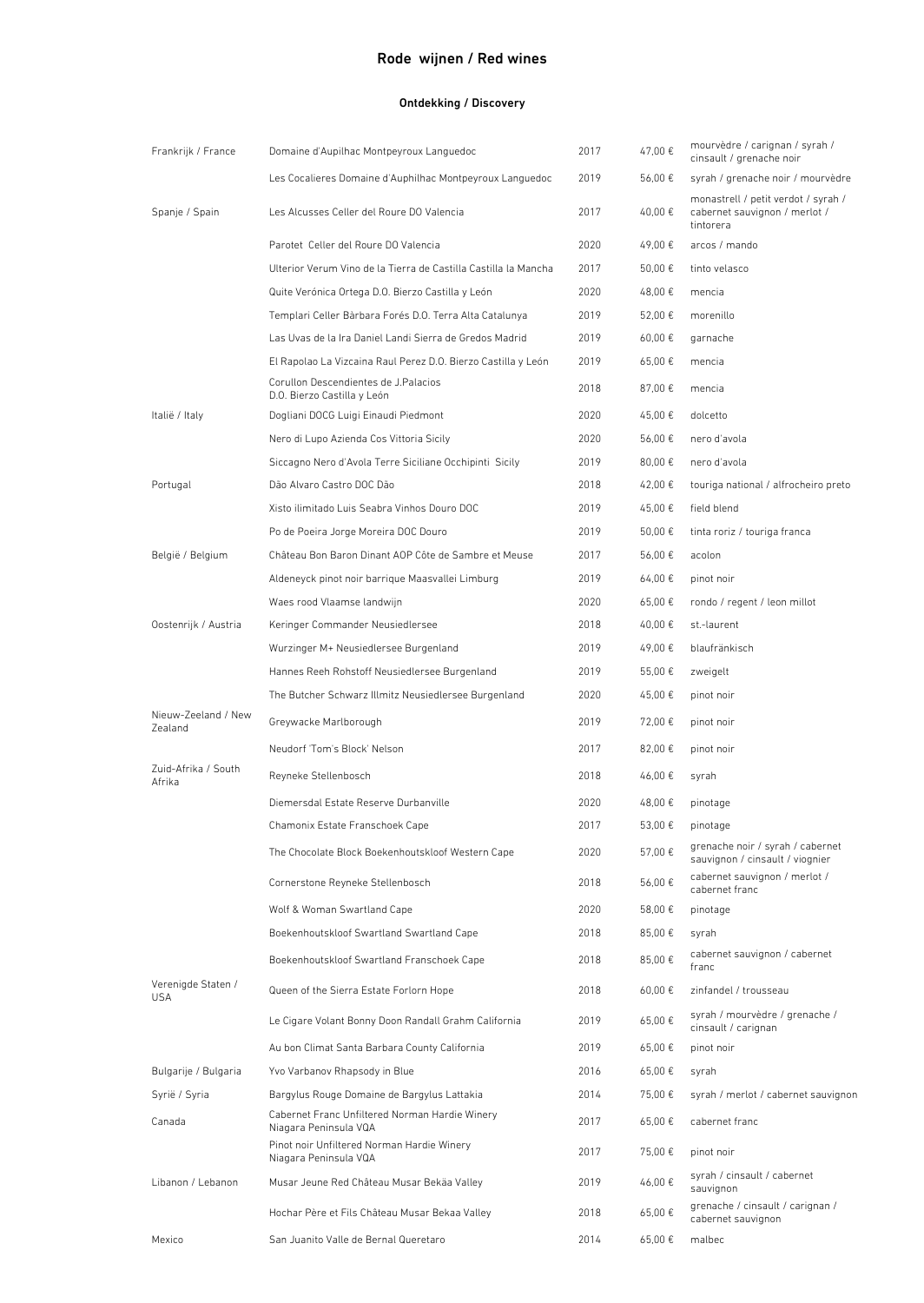# Rode wijnen / Red wines

### Ontdekking / Discovery

| Frankrijk / France               | Domaine d'Aupilhac Montpeyroux Languedoc                                | 2017 | 47,00€      | mourvèdre / carignan / syrah /<br>cinsault / grenache noir                        |
|----------------------------------|-------------------------------------------------------------------------|------|-------------|-----------------------------------------------------------------------------------|
|                                  | Les Cocalieres Domaine d'Auphilhac Montpeyroux Languedoc                | 2019 | 56,00€      | syrah / grenache noir / mourvèdre                                                 |
| Spanje / Spain                   | Les Alcusses Celler del Roure DO Valencia                               | 2017 | 40,00€      | monastrell / petit verdot / syrah /<br>cabernet sauvignon / merlot /<br>tintorera |
|                                  | Parotet Celler del Roure DO Valencia                                    | 2020 | 49,00€      | arcos / mando                                                                     |
|                                  | Ulterior Verum Vino de la Tierra de Castilla Castilla la Mancha         | 2017 | 50,00 €     | tinto velasco                                                                     |
|                                  | Quite Verónica Ortega D.O. Bierzo Castilla y León                       | 2020 | 48.00€      | mencia                                                                            |
|                                  | Templari Celler Bàrbara Forés D.O. Terra Alta Catalunya                 | 2019 | 52,00 €     | morenillo                                                                         |
|                                  | Las Uvas de la Ira Daniel Landi Sierra de Gredos Madrid                 | 2019 | $60,00 \in$ | garnache                                                                          |
|                                  | El Rapolao La Vizcaina Raul Perez D.O. Bierzo Castilla y León           | 2019 | 65,00€      | mencia                                                                            |
|                                  | Corullon Descendientes de J.Palacios<br>D.O. Bierzo Castilla y León     | 2018 | 87,00 €     | mencia                                                                            |
| Italië / Italy                   | Dogliani DOCG Luigi Einaudi Piedmont                                    | 2020 | 45,00€      | dolcetto                                                                          |
|                                  | Nero di Lupo Azienda Cos Vittoria Sicily                                | 2020 | 56,00€      | nero d'avola                                                                      |
|                                  | Siccagno Nero d'Avola Terre Siciliane Occhipinti Sicily                 | 2019 | 80,00 €     | nero d'avola                                                                      |
| Portugal                         | Dão Alvaro Castro DOC Dão                                               | 2018 | 42.00€      | touriga national / alfrocheiro preto                                              |
|                                  | Xisto ilimitado Luis Seabra Vinhos Douro DOC                            | 2019 | 45.00€      | field blend                                                                       |
|                                  | Po de Poeira Jorge Moreira DOC Douro                                    | 2019 | 50,00€      | tinta roriz / touriga franca                                                      |
| België / Belgium                 | Château Bon Baron Dinant AOP Côte de Sambre et Meuse                    | 2017 | 56,00€      | acolon                                                                            |
|                                  | Aldeneyck pinot noir barrique Maasvallei Limburg                        | 2019 | 64,00€      | pinot noir                                                                        |
|                                  | Waes rood Vlaamse landwijn                                              | 2020 | 65,00€      | rondo / regent / leon millot                                                      |
| Oostenrijk / Austria             | Keringer Commander Neusiedlersee                                        | 2018 | 40,00 €     | st.-laurent                                                                       |
|                                  | Wurzinger M+ Neusiedlersee Burgenland                                   | 2019 | 49,00€      | blaufränkisch                                                                     |
|                                  | Hannes Reeh Rohstoff Neusiedlersee Burgenland                           | 2019 | 55,00 €     | zweigelt                                                                          |
|                                  | The Butcher Schwarz Illmitz Neusiedlersee Burgenland                    | 2020 | 45,00 €     | pinot noir                                                                        |
| Nieuw-Zeeland / New<br>Zealand   | Greywacke Marlborough                                                   | 2019 | 72,00 €     | pinot noir                                                                        |
|                                  | Neudorf 'Tom's Block' Nelson                                            | 2017 | 82,00 €     | pinot noir                                                                        |
| Zuid-Afrika / South<br>Afrika    | Reyneke Stellenbosch                                                    | 2018 | 46,00€      | syrah                                                                             |
|                                  | Diemersdal Estate Reserve Durbanville                                   | 2020 | 48,00 €     | pinotage                                                                          |
|                                  | Chamonix Estate Franschoek Cape                                         | 2017 | 53.00 €     | pinotage                                                                          |
|                                  | The Chocolate Block Boekenhoutskloof Western Cape                       | 2020 | 57.00€      | grenache noir / syrah / cabernet<br>sauvignon / cinsault / viognier               |
|                                  | Cornerstone Reyneke Stellenbosch                                        | 2018 | 56,00€      | cabernet sauvignon / merlot /<br>cabernet franc                                   |
|                                  | Wolf & Woman Swartland Cape                                             | 2020 | 58,00 €     | pinotage                                                                          |
|                                  | Boekenhoutskloof Swartland Swartland Cape                               | 2018 | 85,00€      | syrah                                                                             |
|                                  | Boekenhoutskloof Swartland Franschoek Cape                              | 2018 | 85,00€      | cabernet sauvignon / cabernet<br>franc                                            |
| Verenigde Staten /<br><b>USA</b> | Queen of the Sierra Estate Forlorn Hope                                 | 2018 | 60.00€      | zinfandel / trousseau                                                             |
|                                  | Le Cigare Volant Bonny Doon Randall Grahm California                    | 2019 | 65,00€      | syrah / mourvèdre / grenache /<br>cinsault / carignan                             |
|                                  | Au bon Climat Santa Barbara County California                           | 2019 | 65,00 €     | pinot noir                                                                        |
| Bulgarije / Bulgaria             | Yvo Varbanov Rhapsody in Blue                                           | 2016 | 65,00 €     | syrah                                                                             |
| Syrië / Syria                    | Bargylus Rouge Domaine de Bargylus Lattakia                             | 2014 | 75,00 €     | syrah / merlot / cabernet sauvignon                                               |
| Canada                           | Cabernet Franc Unfiltered Norman Hardie Winery<br>Niagara Peninsula VQA | 2017 | 65,00€      | cabernet franc                                                                    |
|                                  | Pinot noir Unfiltered Norman Hardie Winery<br>Niagara Peninsula VQA     | 2017 | 75,00 €     | pinot noir                                                                        |
| Libanon / Lebanon                | Musar Jeune Red Château Musar Bekäa Valley                              | 2019 | 46,00€      | syrah / cinsault / cabernet<br>sauvignon                                          |
|                                  | Hochar Père et Fils Château Musar Bekaa Valley                          | 2018 | 65,00€      | grenache / cinsault / carignan /<br>cabernet sauvignon                            |
| Mexico                           | San Juanito Valle de Bernal Queretaro                                   | 2014 | 65,00 €     | malbec                                                                            |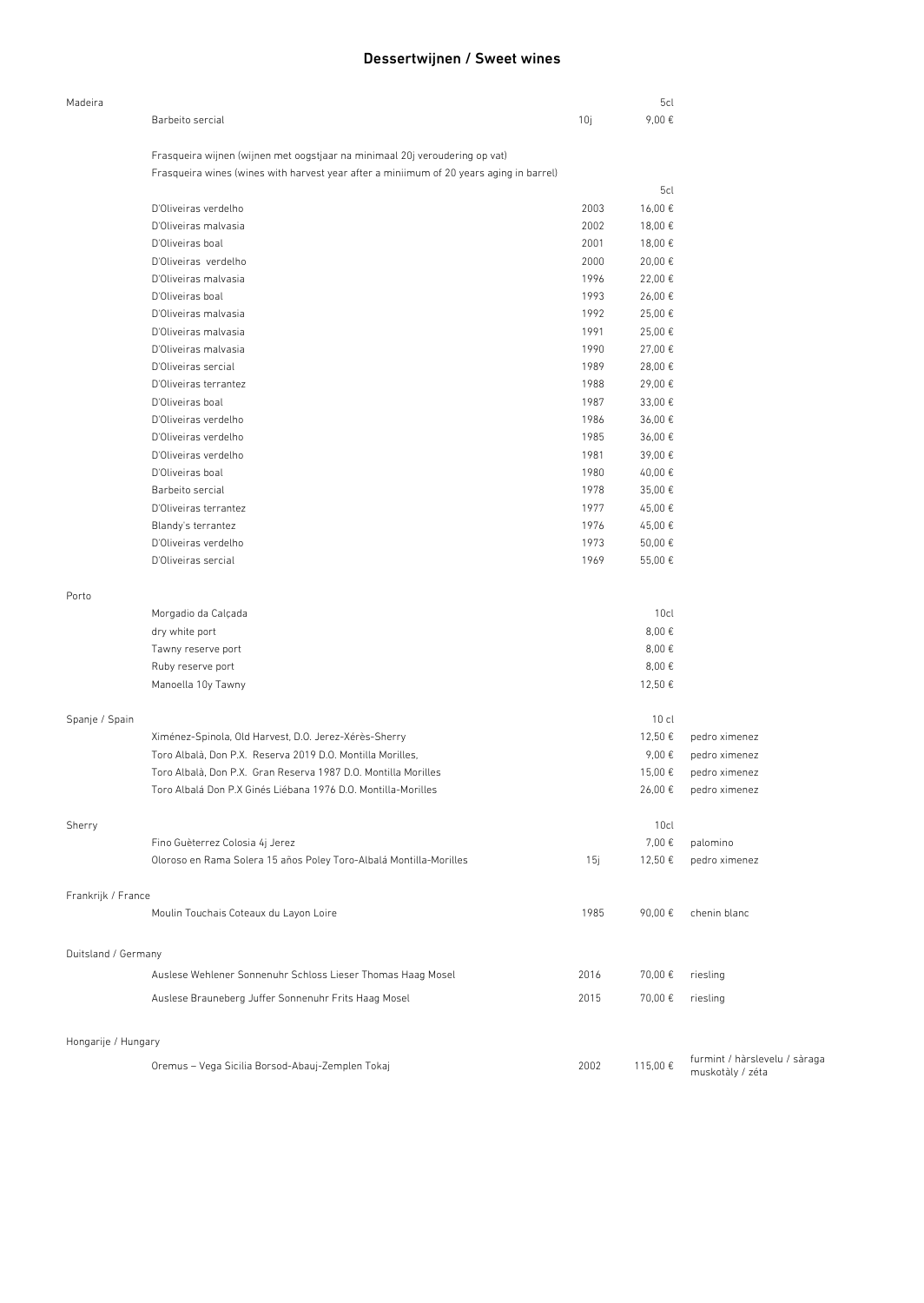# Dessertwijnen / Sweet wines

| Madeira             |                                                                                                                                                                        |      | 5cl              |                                                   |
|---------------------|------------------------------------------------------------------------------------------------------------------------------------------------------------------------|------|------------------|---------------------------------------------------|
|                     | Barbeito sercial                                                                                                                                                       | 10j  | 9,00€            |                                                   |
|                     |                                                                                                                                                                        |      |                  |                                                   |
|                     | Frasqueira wijnen (wijnen met oogstjaar na minimaal 20j veroudering op vat)<br>Frasqueira wines (wines with harvest year after a miniimum of 20 years aging in barrel) |      |                  |                                                   |
|                     |                                                                                                                                                                        |      | 5cl              |                                                   |
|                     | D'Oliveiras verdelho                                                                                                                                                   | 2003 | 16,00€           |                                                   |
|                     | D'Oliveiras malvasia                                                                                                                                                   | 2002 | 18,00 €          |                                                   |
|                     | D'Oliveiras boal                                                                                                                                                       | 2001 | 18,00€           |                                                   |
|                     | D'Oliveiras verdelho                                                                                                                                                   | 2000 | 20,00€           |                                                   |
|                     | D'Oliveiras malvasia                                                                                                                                                   | 1996 | 22,00€           |                                                   |
|                     | D'Oliveiras boal                                                                                                                                                       | 1993 | 26,00€           |                                                   |
|                     | D'Oliveiras malvasia                                                                                                                                                   | 1992 | 25,00€           |                                                   |
|                     | D'Oliveiras malvasia                                                                                                                                                   | 1991 | 25,00€           |                                                   |
|                     | D'Oliveiras malvasia                                                                                                                                                   | 1990 | 27,00€           |                                                   |
|                     | D'Oliveiras sercial                                                                                                                                                    | 1989 | 28,00€           |                                                   |
|                     | D'Oliveiras terrantez                                                                                                                                                  | 1988 | 29,00€           |                                                   |
|                     | D'Oliveiras boal                                                                                                                                                       | 1987 | 33,00 €          |                                                   |
|                     | D'Oliveiras verdelho                                                                                                                                                   | 1986 | 36,00€           |                                                   |
|                     | D'Oliveiras verdelho                                                                                                                                                   | 1985 | 36,00€           |                                                   |
|                     | D'Oliveiras verdelho                                                                                                                                                   | 1981 | 39,00€           |                                                   |
|                     | D'Oliveiras boal                                                                                                                                                       | 1980 | 40,00€           |                                                   |
|                     | Barbeito sercial                                                                                                                                                       | 1978 | 35,00€           |                                                   |
|                     | D'Oliveiras terrantez                                                                                                                                                  | 1977 | 45,00€           |                                                   |
|                     | Blandy's terrantez                                                                                                                                                     | 1976 | 45,00€           |                                                   |
|                     | D'Oliveiras verdelho                                                                                                                                                   | 1973 | 50,00€           |                                                   |
|                     | D'Oliveiras sercial                                                                                                                                                    | 1969 | 55,00€           |                                                   |
|                     |                                                                                                                                                                        |      |                  |                                                   |
| Porto               |                                                                                                                                                                        |      |                  |                                                   |
|                     | Morgadio da Calçada                                                                                                                                                    |      | 10 <sub>cl</sub> |                                                   |
|                     | dry white port                                                                                                                                                         |      | 8,00€            |                                                   |
|                     | Tawny reserve port                                                                                                                                                     |      | 8,00€            |                                                   |
|                     | Ruby reserve port                                                                                                                                                      |      | 8,00€            |                                                   |
|                     | Manoella 10y Tawny                                                                                                                                                     |      | 12,50€           |                                                   |
| Spanje / Spain      |                                                                                                                                                                        |      | $10$ cl          |                                                   |
|                     | Ximénez-Spinola, Old Harvest, D.O. Jerez-Xérès-Sherry                                                                                                                  |      | 12,50 €          | pedro ximenez                                     |
|                     | Toro Albalà, Don P.X. Reserva 2019 D.O. Montilla Morilles,                                                                                                             |      | 9,00€            | pedro ximenez                                     |
|                     | Toro Albalà, Don P.X. Gran Reserva 1987 D.O. Montilla Morilles                                                                                                         |      | 15,00€           | pedro ximenez                                     |
|                     | Toro Albalá Don P.X Ginés Liébana 1976 D.O. Montilla-Morilles                                                                                                          |      | 26,00€           | pedro ximenez                                     |
| Sherry              |                                                                                                                                                                        |      | 10cl             |                                                   |
|                     | Fino Guèterrez Colosia 4j Jerez                                                                                                                                        |      | 7,00€            | palomino                                          |
|                     | Oloroso en Rama Solera 15 años Poley Toro-Albalá Montilla-Morilles                                                                                                     | 15j  | 12,50€           | pedro ximenez                                     |
|                     |                                                                                                                                                                        |      |                  |                                                   |
| Frankrijk / France  | Moulin Touchais Coteaux du Layon Loire                                                                                                                                 | 1985 | 90.00€           | chenin blanc                                      |
|                     |                                                                                                                                                                        |      |                  |                                                   |
| Duitsland / Germany |                                                                                                                                                                        |      |                  |                                                   |
|                     | Auslese Wehlener Sonnenuhr Schloss Lieser Thomas Haag Mosel                                                                                                            | 2016 | 70,00€           | riesling                                          |
|                     | Auslese Brauneberg Juffer Sonnenuhr Frits Haag Mosel                                                                                                                   | 2015 | 70,00€           | riesling                                          |
|                     |                                                                                                                                                                        |      |                  |                                                   |
| Hongarije / Hungary |                                                                                                                                                                        |      |                  |                                                   |
|                     | Oremus - Vega Sicilia Borsod-Abauj-Zemplen Tokaj                                                                                                                       | 2002 | 115,00€          | furmint / hàrslevelu / sàraga<br>muskotàly / zéta |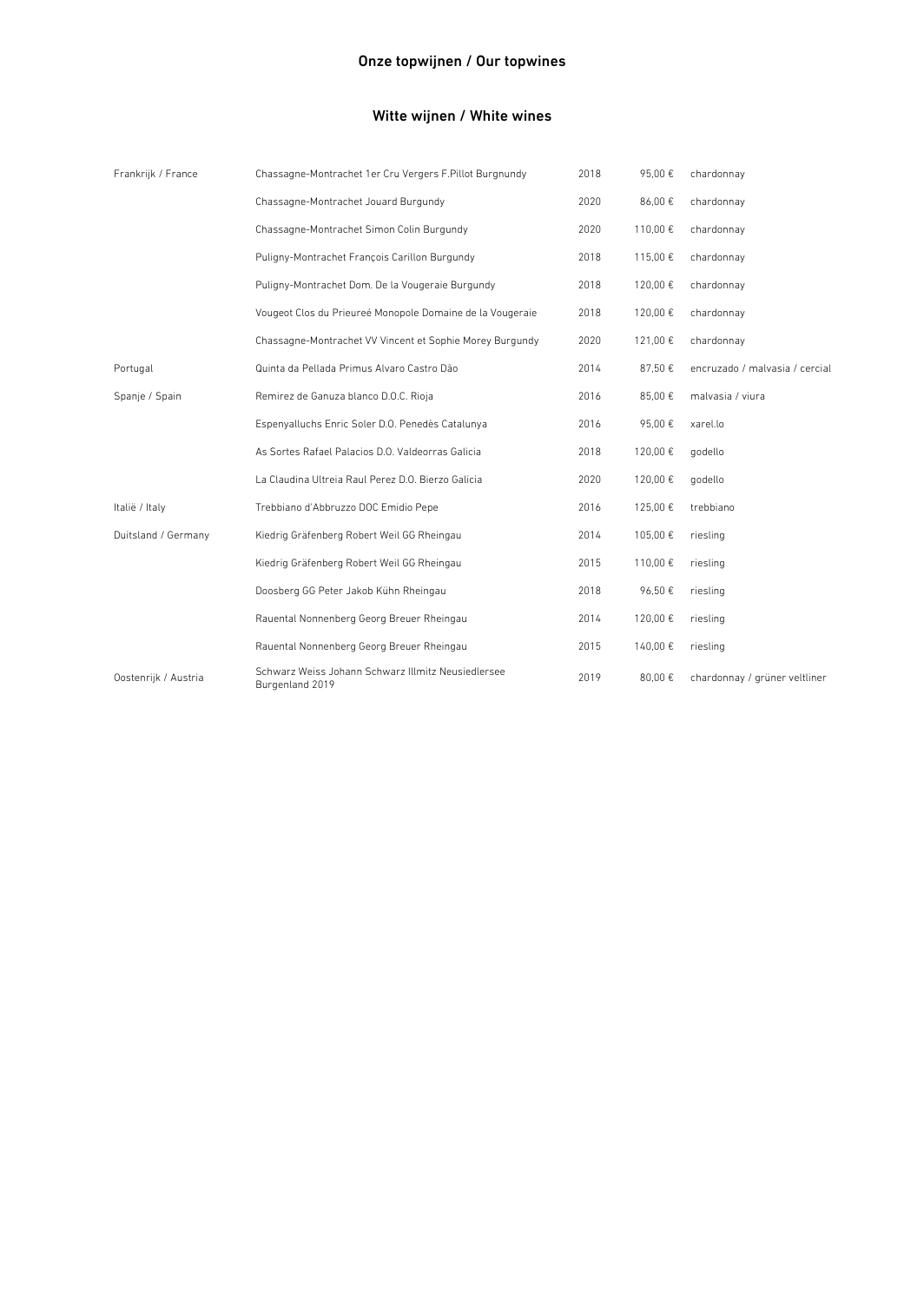# Witte wijnen / White wines

| Frankrijk / France   | Chassagne-Montrachet 1er Cru Vergers F.Pillot Burgnundy               | 2018 | 95,00€  | chardonnay                     |
|----------------------|-----------------------------------------------------------------------|------|---------|--------------------------------|
|                      | Chassagne-Montrachet Jouard Burgundy                                  | 2020 | 86,00€  | chardonnay                     |
|                      | Chassagne-Montrachet Simon Colin Burgundy                             | 2020 | 110,00€ | chardonnay                     |
|                      | Puligny-Montrachet François Carillon Burgundy                         | 2018 | 115,00€ | chardonnay                     |
|                      | Puligny-Montrachet Dom. De la Vougeraie Burgundy                      | 2018 | 120,00€ | chardonnay                     |
|                      | Vougeot Clos du Prieureé Monopole Domaine de la Vougeraie             | 2018 | 120,00€ | chardonnay                     |
|                      | Chassagne-Montrachet VV Vincent et Sophie Morey Burgundy              | 2020 | 121,00€ | chardonnay                     |
| Portugal             | Quinta da Pellada Primus Alvaro Castro Dão                            | 2014 | 87,50€  | encruzado / malvasia / cercial |
| Spanje / Spain       | Remirez de Ganuza blanco D.O.C. Rioja                                 | 2016 | 85,00 € | malvasia / viura               |
|                      | Espenyalluchs Enric Soler D.O. Penedès Catalunya                      | 2016 | 95,00€  | xarel.lo                       |
|                      | As Sortes Rafael Palacios D.O. Valdeorras Galicia                     | 2018 | 120,00€ | godello                        |
|                      | La Claudina Ultreia Raul Perez D.O. Bierzo Galicia                    | 2020 | 120,00€ | godello                        |
| Italië / Italy       | Trebbiano d'Abbruzzo DOC Emidio Pepe                                  | 2016 | 125,00€ | trebbiano                      |
| Duitsland / Germany  | Kiedrig Gräfenberg Robert Weil GG Rheingau                            | 2014 | 105,00€ | riesling                       |
|                      | Kiedrig Gräfenberg Robert Weil GG Rheingau                            | 2015 | 110,00€ | riesling                       |
|                      | Doosberg GG Peter Jakob Kühn Rheingau                                 | 2018 | 96,50€  | riesling                       |
|                      | Rauental Nonnenberg Georg Breuer Rheingau                             | 2014 | 120,00€ | riesling                       |
|                      | Rauental Nonnenberg Georg Breuer Rheingau                             | 2015 | 140,00€ | riesling                       |
| Oostenrijk / Austria | Schwarz Weiss Johann Schwarz Illmitz Neusiedlersee<br>Burgenland 2019 | 2019 | 80,00 € | chardonnay / grüner veltliner  |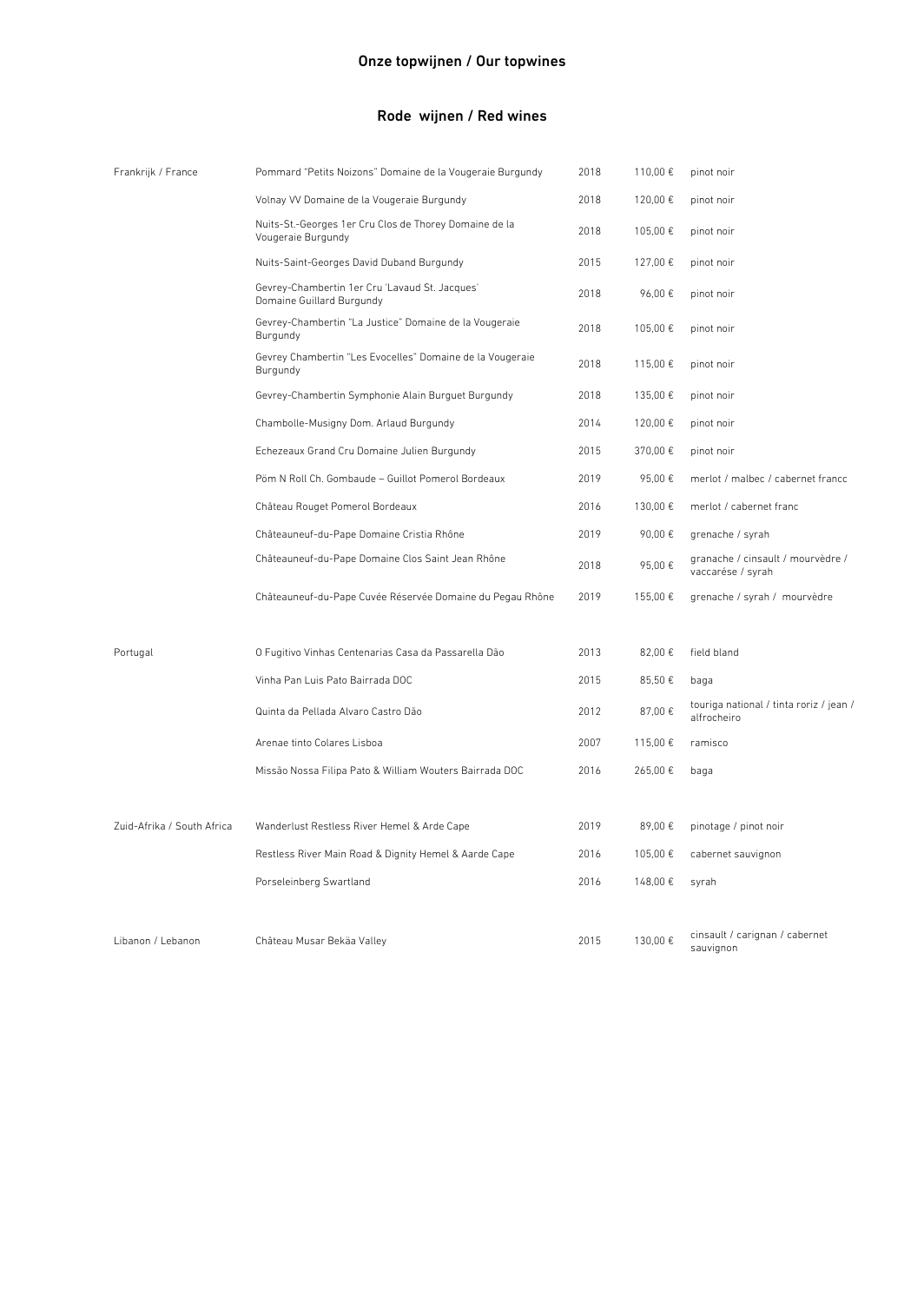| Frankrijk / France         | Pommard "Petits Noizons" Domaine de la Vougeraie Burgundy                    | 2018 | 110,00 € | pinot noir                                             |
|----------------------------|------------------------------------------------------------------------------|------|----------|--------------------------------------------------------|
|                            | Volnay VV Domaine de la Vougeraie Burgundy                                   | 2018 | 120,00€  | pinot noir                                             |
|                            | Nuits-St.-Georges 1er Cru Clos de Thorey Domaine de la<br>Vougeraie Burgundy | 2018 | 105,00€  | pinot noir                                             |
|                            | Nuits-Saint-Georges David Duband Burgundy                                    | 2015 | 127,00 € | pinot noir                                             |
|                            | Gevrey-Chambertin 1er Cru 'Lavaud St. Jacques'<br>Domaine Guillard Burgundy  | 2018 | 96,00€   | pinot noir                                             |
|                            | Gevrey-Chambertin "La Justice" Domaine de la Vougeraie<br>Burgundy           | 2018 | 105,00€  | pinot noir                                             |
|                            | Gevrey Chambertin "Les Evocelles" Domaine de la Vougeraie<br>Burgundy        | 2018 | 115,00 € | pinot noir                                             |
|                            | Gevrey-Chambertin Symphonie Alain Burguet Burgundy                           | 2018 | 135,00 € | pinot noir                                             |
|                            | Chambolle-Musigny Dom. Arlaud Burgundy                                       | 2014 | 120,00€  | pinot noir                                             |
|                            | Echezeaux Grand Cru Domaine Julien Burgundy                                  | 2015 | 370,00 € | pinot noir                                             |
|                            | Pöm N Roll Ch. Gombaude - Guillot Pomerol Bordeaux                           | 2019 | 95,00€   | merlot / malbec / cabernet francc                      |
|                            | Château Rouget Pomerol Bordeaux                                              | 2016 | 130,00 € | merlot / cabernet franc                                |
|                            | Châteauneuf-du-Pape Domaine Cristia Rhône                                    | 2019 | 90,00€   | grenache / syrah                                       |
|                            | Châteauneuf-du-Pape Domaine Clos Saint Jean Rhône                            | 2018 | 95,00€   | granache / cinsault / mourvèdre /<br>vaccarése / syrah |
|                            | Châteauneuf-du-Pape Cuvée Réservée Domaine du Pegau Rhône                    | 2019 | 155,00€  | grenache / syrah / mourvèdre                           |
| Portugal                   | O Fugitivo Vinhas Centenarias Casa da Passarella Dão                         | 2013 | 82,00 €  | field bland                                            |
|                            | Vinha Pan Luis Pato Bairrada DOC                                             | 2015 | 85,50€   | baga                                                   |
|                            | Quinta da Pellada Alvaro Castro Dão                                          | 2012 | 87,00€   | touriga national / tinta roriz / jean /<br>alfrocheiro |
|                            | Arenae tinto Colares Lisboa                                                  | 2007 | 115,00€  | ramisco                                                |
|                            | Missão Nossa Filipa Pato & William Wouters Bairrada DOC                      | 2016 | 265,00€  | baga                                                   |
|                            |                                                                              |      |          |                                                        |
| Zuid-Afrika / South Africa | Wanderlust Restless River Hemel & Arde Cape                                  | 2019 | 89,00€   | pinotage / pinot noir                                  |
|                            | Restless River Main Road & Dignity Hemel & Aarde Cape                        | 2016 | 105,00€  | cabernet sauvignon                                     |
|                            | Porseleinberg Swartland                                                      | 2016 | 148,00€  | syrah                                                  |
| Libanon / Lebanon          | Château Musar Bekäa Valley                                                   | 2015 | 130,00€  | cinsault / carignan / cabernet<br>sauvignon            |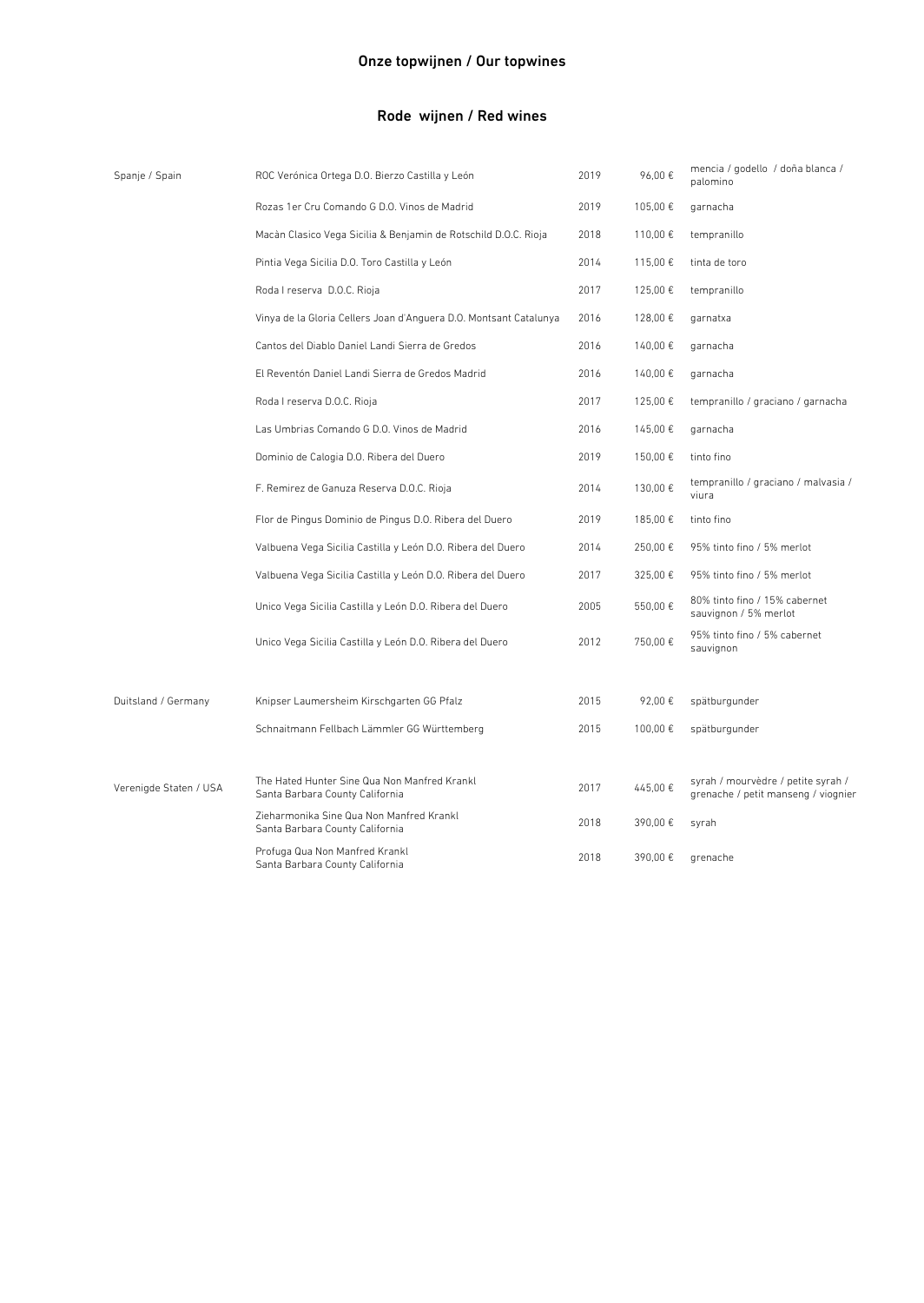| Spanje / Spain         | ROC Verónica Ortega D.O. Bierzo Castilla y León                                 | 2019 | 96,00€  | mencia / godello / doña blanca /<br>palomino                              |
|------------------------|---------------------------------------------------------------------------------|------|---------|---------------------------------------------------------------------------|
|                        | Rozas 1er Cru Comando G D.O. Vinos de Madrid                                    | 2019 | 105,00€ | garnacha                                                                  |
|                        | Macàn Clasico Vega Sicilia & Benjamin de Rotschild D.O.C. Rioja                 | 2018 | 110,00€ | tempranillo                                                               |
|                        | Pintia Vega Sicilia D.O. Toro Castilla y León                                   | 2014 | 115,00€ | tinta de toro                                                             |
|                        | Roda I reserva D.O.C. Rioja                                                     | 2017 | 125,00€ | tempranillo                                                               |
|                        | Vinya de la Gloria Cellers Joan d'Anguera D.O. Montsant Catalunya               | 2016 | 128,00€ | garnatxa                                                                  |
|                        | Cantos del Diablo Daniel Landi Sierra de Gredos                                 | 2016 | 140,00€ | garnacha                                                                  |
|                        | El Reventón Daniel Landi Sierra de Gredos Madrid                                | 2016 | 140,00€ | garnacha                                                                  |
|                        | Roda I reserva D.O.C. Rioja                                                     | 2017 | 125,00€ | tempranillo / graciano / garnacha                                         |
|                        | Las Umbrias Comando G D.O. Vinos de Madrid                                      | 2016 | 145,00€ | garnacha                                                                  |
|                        | Dominio de Calogia D.O. Ribera del Duero                                        | 2019 | 150,00€ | tinto fino                                                                |
|                        | F. Remirez de Ganuza Reserva D.O.C. Rioja                                       | 2014 | 130,00€ | tempranillo / graciano / malvasia /<br>viura                              |
|                        | Flor de Pingus Dominio de Pingus D.O. Ribera del Duero                          | 2019 | 185,00€ | tinto fino                                                                |
|                        | Valbuena Vega Sicilia Castilla y León D.O. Ribera del Duero                     | 2014 | 250,00€ | 95% tinto fino / 5% merlot                                                |
|                        | Valbuena Vega Sicilia Castilla y León D.O. Ribera del Duero                     | 2017 | 325,00€ | 95% tinto fino / 5% merlot                                                |
|                        | Unico Vega Sicilia Castilla y León D.O. Ribera del Duero                        | 2005 | 550,00€ | 80% tinto fino / 15% cabernet<br>sauvignon / 5% merlot                    |
|                        | Unico Vega Sicilia Castilla y León D.O. Ribera del Duero                        | 2012 | 750,00€ | 95% tinto fino / 5% cabernet<br>sauvignon                                 |
| Duitsland / Germany    | Knipser Laumersheim Kirschgarten GG Pfalz                                       | 2015 | 92,00€  | spätburgunder                                                             |
|                        | Schnaitmann Fellbach Lämmler GG Württemberg                                     | 2015 | 100,00€ | spätburgunder                                                             |
| Verenigde Staten / USA | The Hated Hunter Sine Qua Non Manfred Krankl<br>Santa Barbara County California | 2017 | 445,00€ | syrah / mourvèdre / petite syrah /<br>grenache / petit manseng / viognier |
|                        | Zieharmonika Sine Qua Non Manfred Krankl<br>Santa Barbara County California     | 2018 | 390,00€ | syrah                                                                     |
|                        | Profuga Qua Non Manfred Krankl<br>Santa Barbara County California               | 2018 | 390.00€ | grenache                                                                  |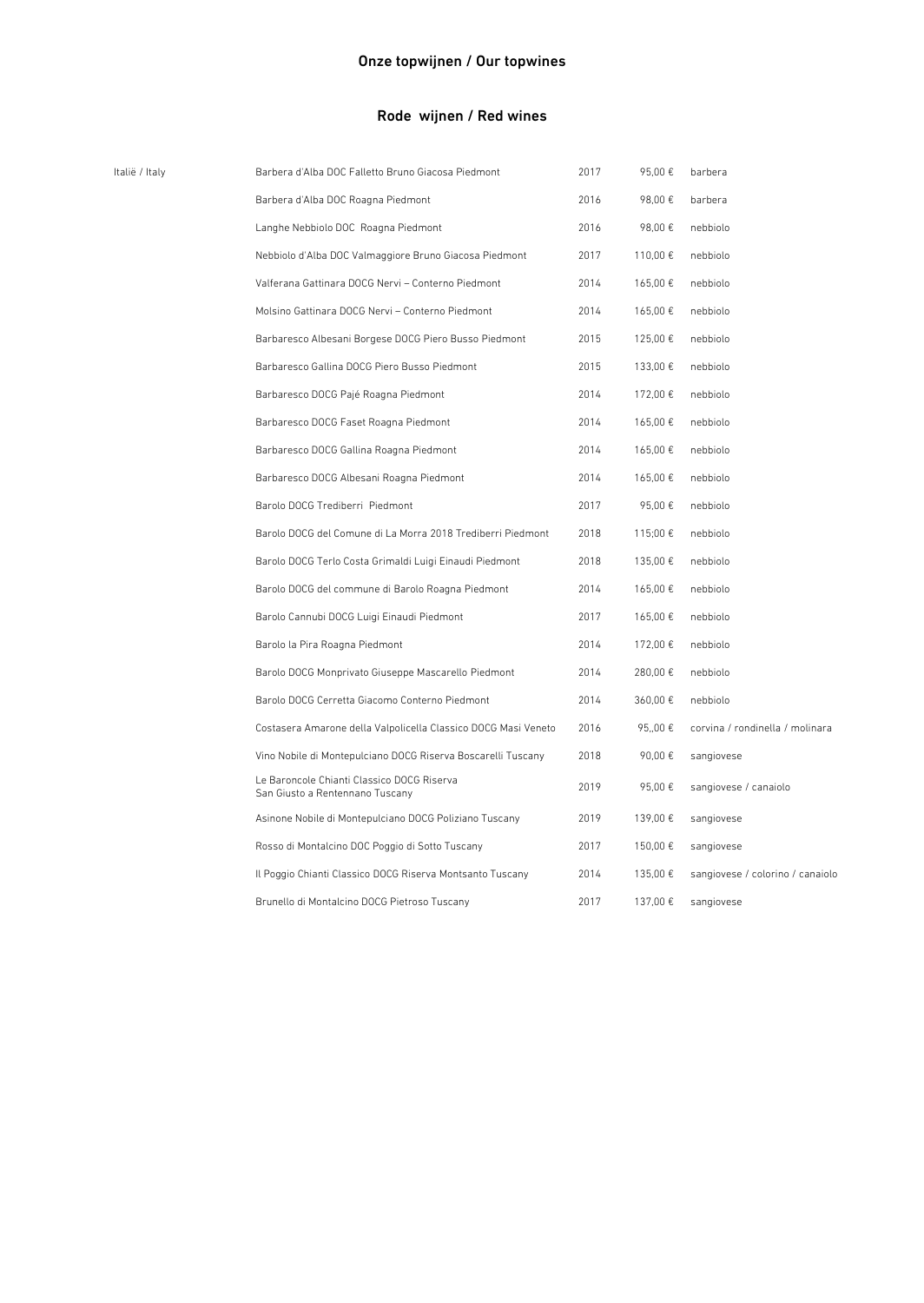| Italië / Italy | Barbera d'Alba DOC Falletto Bruno Giacosa Piedmont                            | 2017 | 95,00€   | barbera                          |
|----------------|-------------------------------------------------------------------------------|------|----------|----------------------------------|
|                | Barbera d'Alba DOC Roagna Piedmont                                            | 2016 | 98,00€   | barbera                          |
|                | Langhe Nebbiolo DOC Roagna Piedmont                                           | 2016 | 98,00 €  | nebbiolo                         |
|                | Nebbiolo d'Alba DOC Valmaggiore Bruno Giacosa Piedmont                        | 2017 | 110,00 € | nebbiolo                         |
|                | Valferana Gattinara DOCG Nervi - Conterno Piedmont                            | 2014 | 165,00€  | nebbiolo                         |
|                | Molsino Gattinara DOCG Nervi - Conterno Piedmont                              | 2014 | 165,00€  | nebbiolo                         |
|                | Barbaresco Albesani Borgese DOCG Piero Busso Piedmont                         | 2015 | 125,00€  | nebbiolo                         |
|                | Barbaresco Gallina DOCG Piero Busso Piedmont                                  | 2015 | 133,00 € | nebbiolo                         |
|                | Barbaresco DOCG Pajé Roagna Piedmont                                          | 2014 | 172,00 € | nebbiolo                         |
|                | Barbaresco DOCG Faset Roagna Piedmont                                         | 2014 | 165,00€  | nebbiolo                         |
|                | Barbaresco DOCG Gallina Roagna Piedmont                                       | 2014 | 165,00€  | nebbiolo                         |
|                | Barbaresco DOCG Albesani Roagna Piedmont                                      | 2014 | 165,00€  | nebbiolo                         |
|                | Barolo DOCG Trediberri Piedmont                                               | 2017 | 95,00€   | nebbiolo                         |
|                | Barolo DOCG del Comune di La Morra 2018 Trediberri Piedmont                   | 2018 | 115;00 € | nebbiolo                         |
|                | Barolo DOCG Terlo Costa Grimaldi Luigi Einaudi Piedmont                       | 2018 | 135,00 € | nebbiolo                         |
|                | Barolo DOCG del commune di Barolo Roagna Piedmont                             | 2014 | 165,00€  | nebbiolo                         |
|                | Barolo Cannubi DOCG Luigi Einaudi Piedmont                                    | 2017 | 165,00€  | nebbiolo                         |
|                | Barolo la Pira Roagna Piedmont                                                | 2014 | 172,00 € | nebbiolo                         |
|                | Barolo DOCG Monprivato Giuseppe Mascarello Piedmont                           | 2014 | 280,00€  | nebbiolo                         |
|                | Barolo DOCG Cerretta Giacomo Conterno Piedmont                                | 2014 | 360,00€  | nebbiolo                         |
|                | Costasera Amarone della Valpolicella Classico DOCG Masi Veneto                | 2016 | 95,,00 € | corvina / rondinella / molinara  |
|                | Vino Nobile di Montepulciano DOCG Riserva Boscarelli Tuscany                  | 2018 | 90,00€   | sangiovese                       |
|                | Le Baroncole Chianti Classico DOCG Riserva<br>San Giusto a Rentennano Tuscany | 2019 | 95,00€   | sangiovese / canaiolo            |
|                | Asinone Nobile di Montepulciano DOCG Poliziano Tuscany                        | 2019 | 139,00 € | sangiovese                       |
|                | Rosso di Montalcino DOC Poggio di Sotto Tuscany                               | 2017 | 150,00 € | sangiovese                       |
|                | Il Poggio Chianti Classico DOCG Riserva Montsanto Tuscany                     | 2014 | 135,00 € | sangiovese / colorino / canaiolo |
|                | Brunello di Montalcino DOCG Pietroso Tuscany                                  | 2017 | 137,00 € | sangiovese                       |